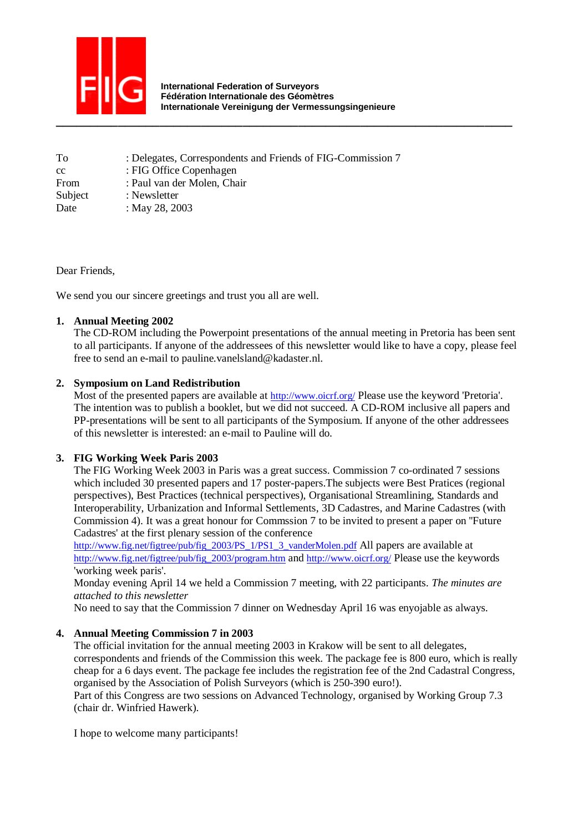

 **International Federation of Surveyors Fédération Internationale des Géomètres Internationale Vereinigung der Vermessungsingenieure** 

| To      | : Delegates, Correspondents and Friends of FIG-Commission 7 |
|---------|-------------------------------------------------------------|
| cc      | : FIG Office Copenhagen                                     |
| From    | : Paul van der Molen, Chair                                 |
| Subject | : Newsletter                                                |
| Date    | : May 28, 2003                                              |

Dear Friends,

We send you our sincere greetings and trust you all are well.

## **1. Annual Meeting 2002**

The CD-ROM including the Powerpoint presentations of the annual meeting in Pretoria has been sent to all participants. If anyone of the addressees of this newsletter would like to have a copy, please feel free to send an e-mail to pauline.vanelsland@kadaster.nl.

# **2. Symposium on Land Redistribution**

Most of the presented papers are available at http://www.oicrf.org/ Please use the keyword 'Pretoria'. The intention was to publish a booklet, but we did not succeed. A CD-ROM inclusive all papers and PP-presentations will be sent to all participants of the Symposium. If anyone of the other addressees of this newsletter is interested: an e-mail to Pauline will do.

# **3. FIG Working Week Paris 2003**

The FIG Working Week 2003 in Paris was a great success. Commission 7 co-ordinated 7 sessions which included 30 presented papers and 17 poster-papers.The subjects were Best Pratices (regional perspectives), Best Practices (technical perspectives), Organisational Streamlining, Standards and Interoperability, Urbanization and Informal Settlements, 3D Cadastres, and Marine Cadastres (with Commission 4). It was a great honour for Commssion 7 to be invited to present a paper on ''Future Cadastres' at the first plenary session of the conference

http://www.fig.net/figtree/pub/fig\_2003/PS\_1/PS1\_3\_vanderMolen.pdf All papers are available at http://www.fig.net/figtree/pub/fig\_2003/program.htm and http://www.oicrf.org/ Please use the keywords 'working week paris'.

Monday evening April 14 we held a Commission 7 meeting, with 22 participants. *The minutes are attached to this newsletter* 

No need to say that the Commission 7 dinner on Wednesday April 16 was enyojable as always.

### **4. Annual Meeting Commission 7 in 2003**

The official invitation for the annual meeting 2003 in Krakow will be sent to all delegates, correspondents and friends of the Commission this week. The package fee is 800 euro, which is really cheap for a 6 days event. The package fee includes the registration fee of the 2nd Cadastral Congress, organised by the Association of Polish Surveyors (which is 250-390 euro!).

Part of this Congress are two sessions on Advanced Technology, organised by Working Group 7.3 (chair dr. Winfried Hawerk).

I hope to welcome many participants!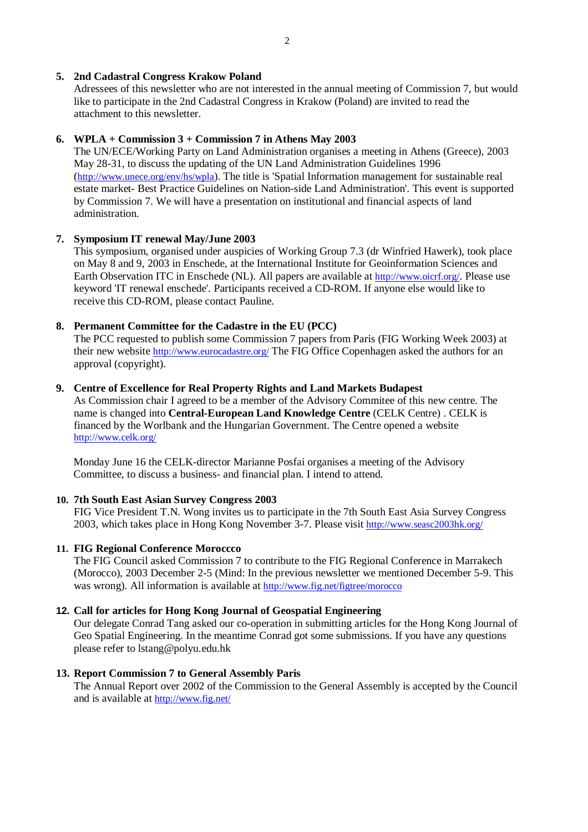## **5. 2nd Cadastral Congress Krakow Poland**

Adressees of this newsletter who are not interested in the annual meeting of Commission 7, but would like to participate in the 2nd Cadastral Congress in Krakow (Poland) are invited to read the attachment to this newsletter.

## **6. WPLA + Commission 3 + Commission 7 in Athens May 2003**

The UN/ECE/Working Party on Land Administration organises a meeting in Athens (Greece), 2003 May 28-31, to discuss the updating of the UN Land Administration Guidelines 1996 (http://www.unece.org/env/hs/wpla). The title is 'Spatial Information management for sustainable real estate market- Best Practice Guidelines on Nation-side Land Administration'. This event is supported by Commission 7. We will have a presentation on institutional and financial aspects of land administration.

## **7. Symposium IT renewal May/June 2003**

This symposium, organised under auspicies of Working Group 7.3 (dr Winfried Hawerk), took place on May 8 and 9, 2003 in Enschede, at the International Institute for Geoinformation Sciences and Earth Observation ITC in Enschede (NL). All papers are available at http://www.oicrf.org/. Please use keyword 'IT renewal enschede'. Participants received a CD-ROM. If anyone else would like to receive this CD-ROM, please contact Pauline.

## **8. Permanent Committee for the Cadastre in the EU (PCC)**

The PCC requested to publish some Commission 7 papers from Paris (FIG Working Week 2003) at their new website http://www.eurocadastre.org/ The FIG Office Copenhagen asked the authors for an approval (copyright).

## **9. Centre of Excellence for Real Property Rights and Land Markets Budapest**

As Commission chair I agreed to be a member of the Advisory Commitee of this new centre. The name is changed into **Central-European Land Knowledge Centre** (CELK Centre) . CELK is financed by the Worlbank and the Hungarian Government. The Centre opened a website http://www.celk.org/

Monday June 16 the CELK-director Marianne Posfai organises a meeting of the Advisory Committee, to discuss a business- and financial plan. I intend to attend.

### **10. 7th South East Asian Survey Congress 2003**

FIG Vice President T.N. Wong invites us to participate in the 7th South East Asia Survey Congress 2003, which takes place in Hong Kong November 3-7. Please visit http://www.seasc2003hk.org/

### **11. FIG Regional Conference Moroccco**

The FIG Council asked Commission 7 to contribute to the FIG Regional Conference in Marrakech (Morocco), 2003 December 2-5 (Mind: In the previous newsletter we mentioned December 5-9. This was wrong). All information is available at http://www.fig.net/figtree/morocco

## **12. Call for articles for Hong Kong Journal of Geospatial Engineering**

Our delegate Conrad Tang asked our co-operation in submitting articles for the Hong Kong Journal of Geo Spatial Engineering. In the meantime Conrad got some submissions. If you have any questions please refer to lstang@polyu.edu.hk

### **13. Report Commission 7 to General Assembly Paris**

The Annual Report over 2002 of the Commission to the General Assembly is accepted by the Council and is available at http://www.fig.net/